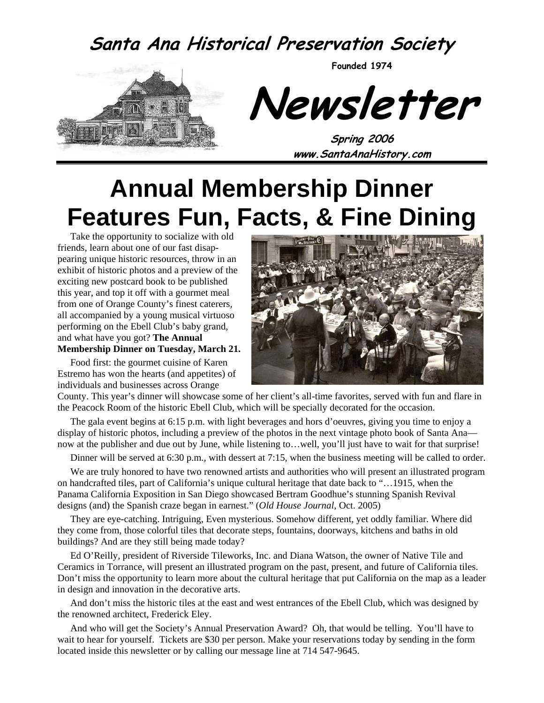#### **Santa Ana Historical Preservation Society**

**Founded 1974** 



**Newsletter** 

**Spring 2006 www.SantaAnaHistory.com** 

## **Annual Membership Dinner Features Fun, Facts, & Fine Dining**

Take the opportunity to socialize with old friends, learn about one of our fast disappearing unique historic resources, throw in an exhibit of historic photos and a preview of the exciting new postcard book to be published this year, and top it off with a gourmet meal from one of Orange County's finest caterers, all accompanied by a young musical virtuoso performing on the Ebell Club's baby grand, and what have you got? **The Annual Membership Dinner on Tuesday, March 21.**

Food first: the gourmet cuisine of Karen Estremo has won the hearts (and appetites) of individuals and businesses across Orange



County. This year's dinner will showcase some of her client's all-time favorites, served with fun and flare in the Peacock Room of the historic Ebell Club, which will be specially decorated for the occasion.

The gala event begins at 6:15 p.m. with light beverages and hors d'oeuvres, giving you time to enjoy a display of historic photos, including a preview of the photos in the next vintage photo book of Santa Ana now at the publisher and due out by June, while listening to…well, you'll just have to wait for that surprise!

Dinner will be served at 6:30 p.m., with dessert at 7:15, when the business meeting will be called to order.

We are truly honored to have two renowned artists and authorities who will present an illustrated program on handcrafted tiles, part of California's unique cultural heritage that date back to "…1915, when the Panama California Exposition in San Diego showcased Bertram Goodhue's stunning Spanish Revival designs (and) the Spanish craze began in earnest." (*Old House Journal*, Oct. 2005)

They are eye-catching. Intriguing, Even mysterious. Somehow different, yet oddly familiar. Where did they come from, those colorful tiles that decorate steps, fountains, doorways, kitchens and baths in old buildings? And are they still being made today?

Ed O'Reilly, president of Riverside Tileworks, Inc. and Diana Watson, the owner of Native Tile and Ceramics in Torrance, will present an illustrated program on the past, present, and future of California tiles. Don't miss the opportunity to learn more about the cultural heritage that put California on the map as a leader in design and innovation in the decorative arts.

And don't miss the historic tiles at the east and west entrances of the Ebell Club, which was designed by the renowned architect, Frederick Eley.

And who will get the Society's Annual Preservation Award? Oh, that would be telling. You'll have to wait to hear for yourself. Tickets are \$30 per person. Make your reservations today by sending in the form located inside this newsletter or by calling our message line at 714 547-9645.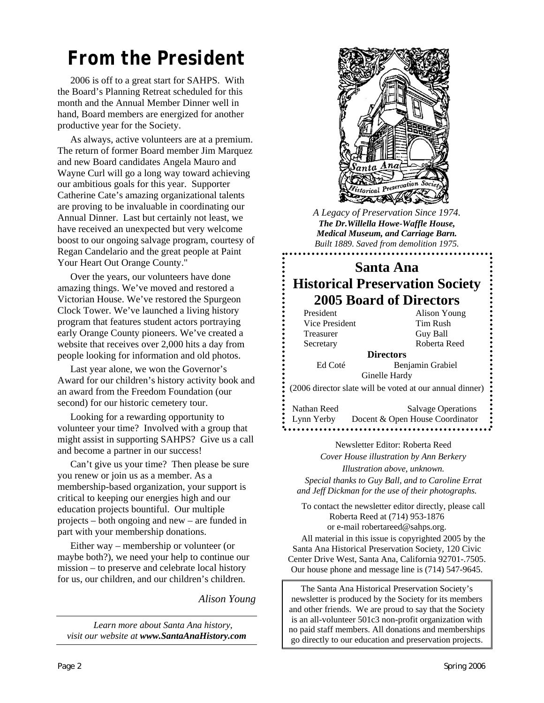## *From the President*

2006 is off to a great start for SAHPS. With the Board's Planning Retreat scheduled for this month and the Annual Member Dinner well in hand, Board members are energized for another productive year for the Society.

As always, active volunteers are at a premium. The return of former Board member Jim Marquez and new Board candidates Angela Mauro and Wayne Curl will go a long way toward achieving our ambitious goals for this year. Supporter Catherine Cate's amazing organizational talents are proving to be invaluable in coordinating our Annual Dinner. Last but certainly not least, we have received an unexpected but very welcome boost to our ongoing salvage program, courtesy of Regan Candelario and the great people at Paint Your Heart Out Orange County."

Over the years, our volunteers have done amazing things. We've moved and restored a Victorian House. We've restored the Spurgeon Clock Tower. We've launched a living history program that features student actors portraying early Orange County pioneers. We've created a website that receives over 2,000 hits a day from people looking for information and old photos.

Last year alone, we won the Governor's Award for our children's history activity book and an award from the Freedom Foundation (our second) for our historic cemetery tour.

Looking for a rewarding opportunity to volunteer your time? Involved with a group that might assist in supporting SAHPS? Give us a call and become a partner in our success!

Can't give us your time? Then please be sure you renew or join us as a member. As a membership-based organization, your support is critical to keeping our energies high and our education projects bountiful. Our multiple projects – both ongoing and new – are funded in part with your membership donations.

Either way – membership or volunteer (or maybe both?), we need your help to continue our mission – to preserve and celebrate local history for us, our children, and our children's children.

*Alison Young* 

*Learn more about Santa Ana history, visit our website at www.SantaAnaHistory.com*



*A Legacy of Preservation Since 1974. The Dr.Willella Howe-Waffle House, Medical Museum, and Carriage Barn. Built 1889. Saved from demolition 1975.* 

#### **Santa Ana Historical Preservation Society 2005 Board of Directors**

President Alison Young Vice President Tim Rush Treasurer Guy Ball Secretary Roberta Reed

**Directors**  Ed Coté Benjamin Grabiel Ginelle Hardy

(2006 director slate will be voted at our annual dinner)

Nathan Reed Salvage Operations Lynn Yerby Docent & Open House Coordinator

> Newsletter Editor: Roberta Reed *Cover House illustration by Ann Berkery Illustration above, unknown.*

*Special thanks to Guy Ball, and to Caroline Errat and Jeff Dickman for the use of their photographs.* 

To contact the newsletter editor directly, please call Roberta Reed at (714) 953-1876 or e-mail robertareed@sahps.org.

All material in this issue is copyrighted 2005 by the Santa Ana Historical Preservation Society, 120 Civic Center Drive West, Santa Ana, California 92701-.7505. Our house phone and message line is (714) 547-9645.

The Santa Ana Historical Preservation Society's newsletter is produced by the Society for its members and other friends. We are proud to say that the Society is an all-volunteer 501c3 non-profit organization with no paid staff members. All donations and memberships go directly to our education and preservation projects.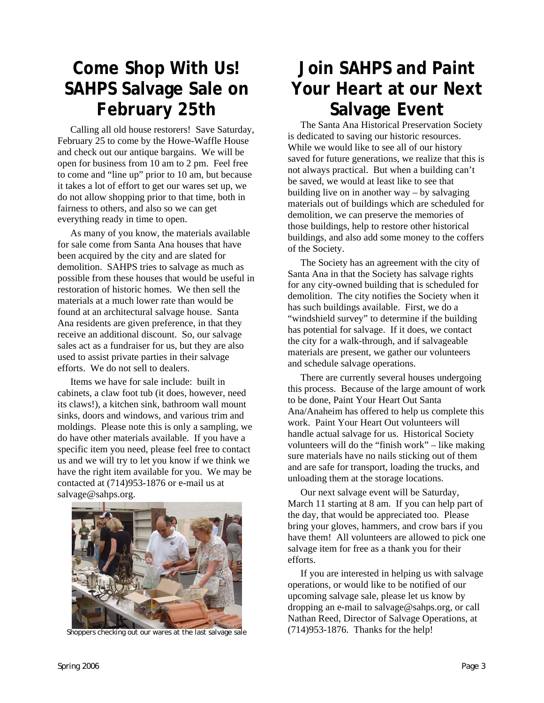## **Come Shop With Us! SAHPS Salvage Sale on February 25th**

Calling all old house restorers! Save Saturday, February 25 to come by the Howe-Waffle House and check out our antique bargains. We will be open for business from 10 am to 2 pm. Feel free to come and "line up" prior to 10 am, but because it takes a lot of effort to get our wares set up, we do not allow shopping prior to that time, both in fairness to others, and also so we can get everything ready in time to open.

As many of you know, the materials available for sale come from Santa Ana houses that have been acquired by the city and are slated for demolition. SAHPS tries to salvage as much as possible from these houses that would be useful in restoration of historic homes. We then sell the materials at a much lower rate than would be found at an architectural salvage house. Santa Ana residents are given preference, in that they receive an additional discount. So, our salvage sales act as a fundraiser for us, but they are also used to assist private parties in their salvage efforts. We do not sell to dealers.

Items we have for sale include: built in cabinets, a claw foot tub (it does, however, need its claws!), a kitchen sink, bathroom wall mount sinks, doors and windows, and various trim and moldings. Please note this is only a sampling, we do have other materials available. If you have a specific item you need, please feel free to contact us and we will try to let you know if we think we have the right item available for you. We may be contacted at (714)953-1876 or e-mail us at [salvage@sahps.org.](mailto:salvage@sahps.org)



Shoppers checking out our wares at the last salvage sale

## **Join SAHPS and Paint Your Heart at our Next Salvage Event**

The Santa Ana Historical Preservation Society is dedicated to saving our historic resources. While we would like to see all of our history saved for future generations, we realize that this is not always practical. But when a building can't be saved, we would at least like to see that building live on in another way – by salvaging materials out of buildings which are scheduled for demolition, we can preserve the memories of those buildings, help to restore other historical buildings, and also add some money to the coffers of the Society.

The Society has an agreement with the city of Santa Ana in that the Society has salvage rights for any city-owned building that is scheduled for demolition. The city notifies the Society when it has such buildings available. First, we do a "windshield survey" to determine if the building has potential for salvage. If it does, we contact the city for a walk-through, and if salvageable materials are present, we gather our volunteers and schedule salvage operations.

There are currently several houses undergoing this process. Because of the large amount of work to be done, Paint Your Heart Out Santa Ana/Anaheim has offered to help us complete this work. Paint Your Heart Out volunteers will handle actual salvage for us. Historical Society volunteers will do the "finish work" – like making sure materials have no nails sticking out of them and are safe for transport, loading the trucks, and unloading them at the storage locations.

Our next salvage event will be Saturday, March 11 starting at 8 am. If you can help part of the day, that would be appreciated too. Please bring your gloves, hammers, and crow bars if you have them! All volunteers are allowed to pick one salvage item for free as a thank you for their efforts.

If you are interested in helping us with salvage operations, or would like to be notified of our upcoming salvage sale, please let us know by dropping an e-mail to [salvage@sahps.org,](mailto:salvage@sahps.org) or call Nathan Reed, Director of Salvage Operations, at (714)953-1876. Thanks for the help!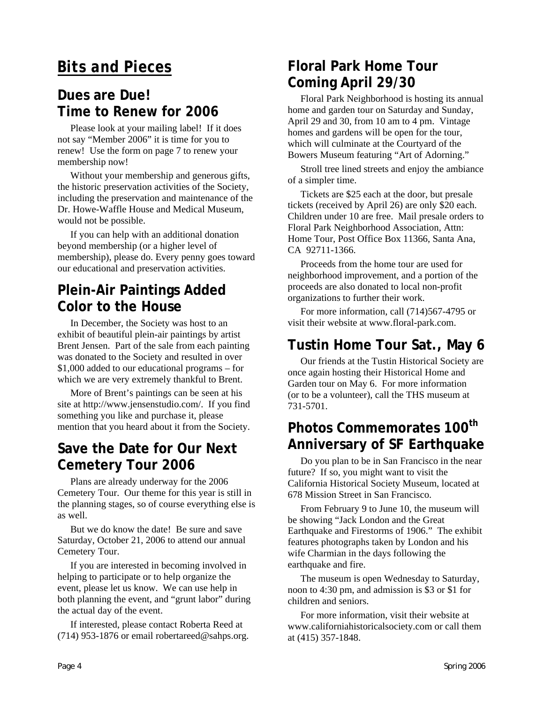#### *Bits and Pieces*

#### **Dues are Due! Time to Renew for 2006**

Please look at your mailing label! If it does not say "Member 2006" it is time for you to renew! Use the form on page 7 to renew your membership now!

Without your membership and generous gifts, the historic preservation activities of the Society, including the preservation and maintenance of the Dr. Howe-Waffle House and Medical Museum, would not be possible.

If you can help with an additional donation beyond membership (or a higher level of membership), please do. Every penny goes toward our educational and preservation activities.

#### **Plein-Air Paintings Added Color to the House**

In December, the Society was host to an exhibit of beautiful plein-air paintings by artist Brent Jensen. Part of the sale from each painting was donated to the Society and resulted in over \$1,000 added to our educational programs – for which we are very extremely thankful to Brent.

More of Brent's paintings can be seen at his site at http://www.jensenstudio.com/. If you find something you like and purchase it, please mention that you heard about it from the Society.

#### **Save the Date for Our Next Cemetery Tour 2006**

Plans are already underway for the 2006 Cemetery Tour. Our theme for this year is still in the planning stages, so of course everything else is as well.

But we do know the date! Be sure and save Saturday, October 21, 2006 to attend our annual Cemetery Tour.

If you are interested in becoming involved in helping to participate or to help organize the event, please let us know. We can use help in both planning the event, and "grunt labor" during the actual day of the event.

If interested, please contact Roberta Reed at (714) 953-1876 or email [robertareed@sahps.org.](mailto:robertareed@sahps.org)

#### **Floral Park Home Tour Coming April 29/30**

Floral Park Neighborhood is hosting its annual home and garden tour on Saturday and Sunday, April 29 and 30, from 10 am to 4 pm. Vintage homes and gardens will be open for the tour, which will culminate at the Courtyard of the Bowers Museum featuring "Art of Adorning."

Stroll tree lined streets and enjoy the ambiance of a simpler time.

Tickets are \$25 each at the door, but presale tickets (received by April 26) are only \$20 each. Children under 10 are free. Mail presale orders to Floral Park Neighborhood Association, Attn: Home Tour, Post Office Box 11366, Santa Ana, CA 92711-1366.

Proceeds from the home tour are used for neighborhood improvement, and a portion of the proceeds are also donated to local non-profit organizations to further their work.

For more information, call (714)567-4795 or visit their website at [www.floral-park.com.](http://www.floral-park.com/)

#### **Tustin Home Tour Sat., May 6**

Our friends at the Tustin Historical Society are once again hosting their Historical Home and Garden tour on May 6. For more information (or to be a volunteer), call the THS museum at 731-5701.

#### **Photos Commemorates 100th Anniversary of SF Earthquake**

Do you plan to be in San Francisco in the near future? If so, you might want to visit the California Historical Society Museum, located at 678 Mission Street in San Francisco.

From February 9 to June 10, the museum will be showing "Jack London and the Great Earthquake and Firestorms of 1906." The exhibit features photographs taken by London and his wife Charmian in the days following the earthquake and fire.

The museum is open Wednesday to Saturday, noon to 4:30 pm, and admission is \$3 or \$1 for children and seniors.

For more information, visit their website at [www.californiahistoricalsociety.com](http://www.californiahistoricalsociety.com/) or call them at (415) 357-1848.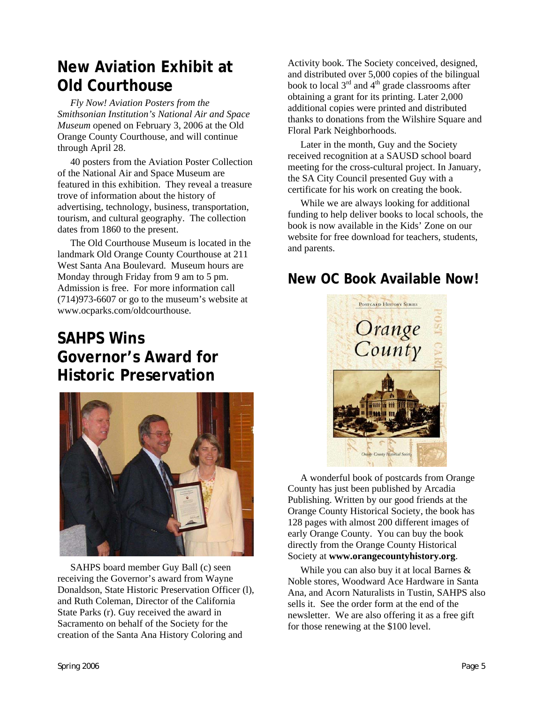#### **New Aviation Exhibit at Old Courthouse**

*Fly Now! Aviation Posters from the Smithsonian Institution's National Air and Space Museum* opened on February 3, 2006 at the Old Orange County Courthouse, and will continue through April 28.

40 posters from the Aviation Poster Collection of the National Air and Space Museum are featured in this exhibition. They reveal a treasure trove of information about the history of advertising, technology, business, transportation, tourism, and cultural geography. The collection dates from 1860 to the present.

The Old Courthouse Museum is located in the landmark Old Orange County Courthouse at 211 West Santa Ana Boulevard. Museum hours are Monday through Friday from 9 am to 5 pm. Admission is free. For more information call (714)973-6607 or go to the museum's website at [www.ocparks.com/oldcourthouse.](http://www.ocparks.com/oldcourthouse)

#### **SAHPS Wins Governor's Award for Historic Preservation**



SAHPS board member Guy Ball (c) seen receiving the Governor's award from Wayne Donaldson, State Historic Preservation Officer (l), and Ruth Coleman, Director of the California State Parks (r). Guy received the award in Sacramento on behalf of the Society for the creation of the Santa Ana History Coloring and

Activity book. The Society conceived, designed, and distributed over 5,000 copies of the bilingual book to local  $3<sup>rd</sup>$  and  $4<sup>th</sup>$  grade classrooms after obtaining a grant for its printing. Later 2,000 additional copies were printed and distributed thanks to donations from the Wilshire Square and Floral Park Neighborhoods.

Later in the month, Guy and the Society received recognition at a SAUSD school board meeting for the cross-cultural project. In January, the SA City Council presented Guy with a certificate for his work on creating the book.

While we are always looking for additional funding to help deliver books to local schools, the book is now available in the Kids' Zone on our website for free download for teachers, students, and parents.

#### **New OC Book Available Now!**



A wonderful book of postcards from Orange County has just been published by Arcadia Publishing. Written by our good friends at the Orange County Historical Society, the book has 128 pages with almost 200 different images of early Orange County. You can buy the book directly from the Orange County Historical Society at **www.orangecountyhistory.org**.

While you can also buy it at local Barnes & Noble stores, Woodward Ace Hardware in Santa Ana, and Acorn Naturalists in Tustin, SAHPS also sells it. See the order form at the end of the newsletter. We are also offering it as a free gift for those renewing at the \$100 level.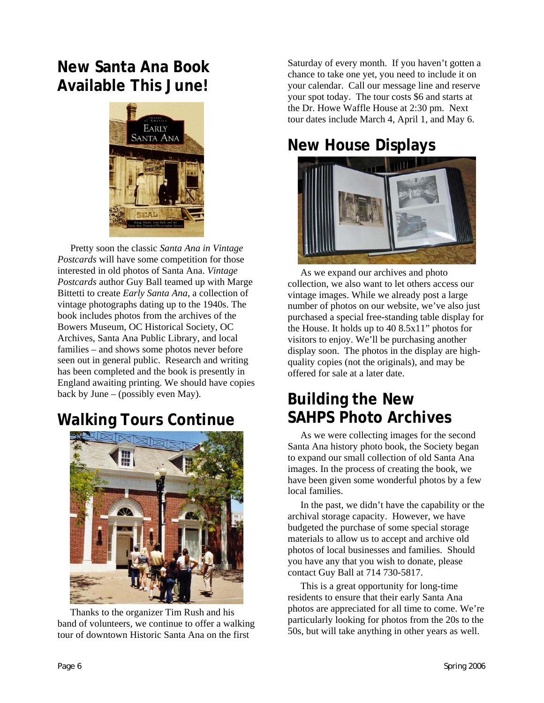#### **New Santa Ana Book Available This June!**



Pretty soon the classic *Santa Ana in Vintage Postcards* will have some competition for those interested in old photos of Santa Ana. *Vintage Postcards* author Guy Ball teamed up with Marge Bittetti to create *Early Santa Ana*, a collection of vintage photographs dating up to the 1940s. The book includes photos from the archives of the Bowers Museum, OC Historical Society, OC Archives, Santa Ana Public Library, and local families – and shows some photos never before seen out in general public. Research and writing has been completed and the book is presently in England awaiting printing. We should have copies back by June – (possibly even May).

## **Walking Tours Continue**



Thanks to the organizer Tim Rush and his band of volunteers, we continue to offer a walking tour of downtown Historic Santa Ana on the first

Saturday of every month. If you haven't gotten a chance to take one yet, you need to include it on your calendar. Call our message line and reserve your spot today. The tour costs \$6 and starts at the Dr. Howe Waffle House at 2:30 pm. Next tour dates include March 4, April 1, and May 6.

## **New House Displays**



As we expand our archives and photo collection, we also want to let others access our vintage images. While we already post a large number of photos on our website, we've also just purchased a special free-standing table display for the House. It holds up to 40 8.5x11" photos for visitors to enjoy. We'll be purchasing another display soon. The photos in the display are highquality copies (not the originals), and may be offered for sale at a later date.

### **Building the New SAHPS Photo Archives**

As we were collecting images for the second Santa Ana history photo book, the Society began to expand our small collection of old Santa Ana images. In the process of creating the book, we have been given some wonderful photos by a few local families.

In the past, we didn't have the capability or the archival storage capacity. However, we have budgeted the purchase of some special storage materials to allow us to accept and archive old photos of local businesses and families. Should you have any that you wish to donate, please contact Guy Ball at 714 730-5817.

This is a great opportunity for long-time residents to ensure that their early Santa Ana photos are appreciated for all time to come. We're particularly looking for photos from the 20s to the 50s, but will take anything in other years as well.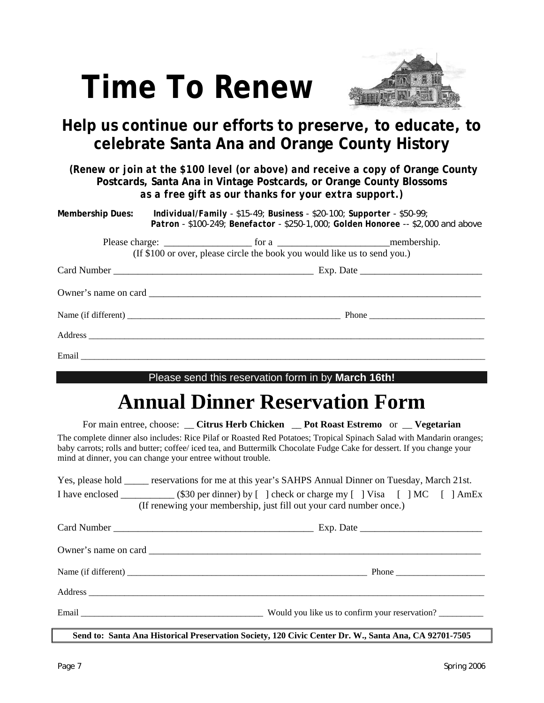# **Time To Renew**



#### **Help us continue our efforts to preserve, to educate, to celebrate Santa Ana and Orange County History**

*(Renew or join at the \$100 level (or above) and receive a copy of Orange County* **Postcards, Santa Ana in Vintage Postcards, or Orange County Blossoms** *as a free gift as our thanks for your extra support.)* 

|                                                     |  |  | Membership Dues: Individual/Family - \$15-49; Business - \$20-100; Supporter - \$50-99;<br>Patron - \$100-249; Benefactor - \$250-1,000; Golden Honoree -- \$2,000 and above |  |  |
|-----------------------------------------------------|--|--|------------------------------------------------------------------------------------------------------------------------------------------------------------------------------|--|--|
|                                                     |  |  | (If \$100 or over, please circle the book you would like us to send you.)                                                                                                    |  |  |
|                                                     |  |  |                                                                                                                                                                              |  |  |
|                                                     |  |  |                                                                                                                                                                              |  |  |
|                                                     |  |  |                                                                                                                                                                              |  |  |
|                                                     |  |  |                                                                                                                                                                              |  |  |
|                                                     |  |  |                                                                                                                                                                              |  |  |
| Please send this reservation form in by March 16th! |  |  |                                                                                                                                                                              |  |  |
| <b>Annual Dinner Reservation Form</b>               |  |  |                                                                                                                                                                              |  |  |

For main entree, choose: \_\_ **Citrus Herb Chicken** \_\_ **Pot Roast Estremo** or \_\_ **Vegetarian** The complete dinner also includes: Rice Pilaf or Roasted Red Potatoes; Tropical Spinach Salad with Mandarin oranges; baby carrots; rolls and butter; coffee/ iced tea, and Buttermilk Chocolate Fudge Cake for dessert. If you change your mind at dinner, you can change your entree without trouble.

Yes, please hold \_\_\_\_\_\_ reservations for me at this year's SAHPS Annual Dinner on Tuesday, March 21st. I have enclosed \_\_\_\_\_\_\_\_\_\_\_ (\$30 per dinner) by [ ] check or charge my [ ] Visa [ ] MC [ ] AmEx (If renewing your membership, just fill out your card number once.)

|         | Phone                                          |
|---------|------------------------------------------------|
| Address |                                                |
|         | Would you like us to confirm your reservation? |

**Send to: Santa Ana Historical Preservation Society, 120 Civic Center Dr. W., Santa Ana, CA 92701-7505**